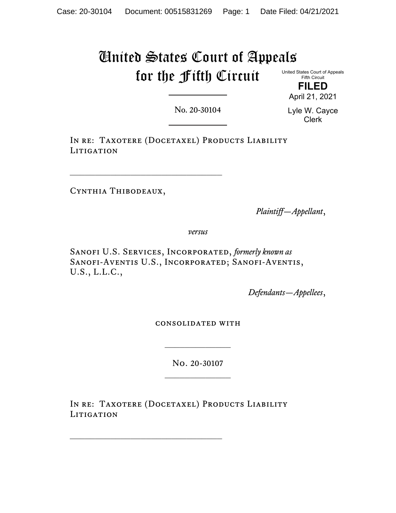# United States Court of Appeals for the Fifth Circuit

United States Court of Appeals Fifth Circuit

> **FILED** April 21, 2021

No. 20-30104

Lyle W. Cayce Clerk

IN RE: TAXOTERE (DOCETAXEL) PRODUCTS LIABILITY LITIGATION

Cynthia Thibodeaux,

 $\mathcal{L}_\text{max}$ 

*Plaintiff—Appellant*,

*versus*

SANOFI U.S. SERVICES, INCORPORATED, *formerly known as* Sanofi-Aventis U.S., Incorporated; Sanofi-Aventis, U.S., L.L.C.,

*Defendants—Appellees*,

consolidated with

No. 20-30107

 $\frac{1}{2}$ 

IN RE: TAXOTERE (DOCETAXEL) PRODUCTS LIABILITY LITIGATION

\_\_\_\_\_\_\_\_\_\_\_\_\_\_\_\_\_\_\_\_\_\_\_\_\_\_\_\_\_\_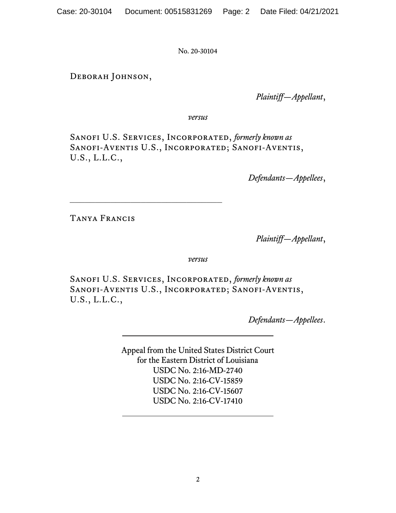Deborah Johnson,

*Plaintiff—Appellant*,

*versus*

Sanofi U.S. Services, Incorporated, *formerly known as* SANOFI-AVENTIS U.S., INCORPORATED; SANOFI-AVENTIS, U.S., L.L.C.,

*Defendants—Appellees*,

Tanya Francis

*Plaintiff—Appellant*,

*versus*

Sanofi U.S. Services, Incorporated, *formerly known as* Sanofi-Aventis U.S., Incorporated; Sanofi-Aventis, U.S., L.L.C.,

*Defendants—Appellees*.

Appeal from the United States District Court for the Eastern District of Louisiana USDC No. 2:16-MD-2740 USDC No. 2:16-CV-15859 USDC No. 2:16-CV-15607 USDC No. 2:16-CV-17410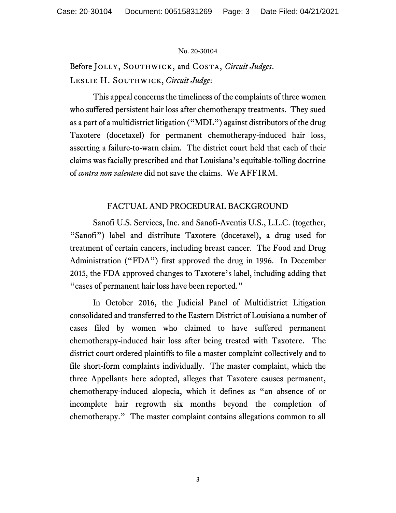Before Jolly, Southwick, and Costa, *Circuit Judges*. Leslie H. Southwick, *Circuit Judge*:

This appeal concerns the timeliness of the complaints of three women who suffered persistent hair loss after chemotherapy treatments. They sued as a part of a multidistrict litigation ("MDL") against distributors of the drug Taxotere (docetaxel) for permanent chemotherapy-induced hair loss, asserting a failure-to-warn claim. The district court held that each of their claims was facially prescribed and that Louisiana's equitable-tolling doctrine of *contra non valentem* did not save the claims. We AFFIRM.

# FACTUAL AND PROCEDURAL BACKGROUND

Sanofi U.S. Services, Inc. and Sanofi-Aventis U.S., L.L.C. (together, "Sanofi") label and distribute Taxotere (docetaxel), a drug used for treatment of certain cancers, including breast cancer. The Food and Drug Administration ("FDA") first approved the drug in 1996. In December 2015, the FDA approved changes to Taxotere's label, including adding that "cases of permanent hair loss have been reported."

In October 2016, the Judicial Panel of Multidistrict Litigation consolidated and transferred to the Eastern District of Louisiana a number of cases filed by women who claimed to have suffered permanent chemotherapy-induced hair loss after being treated with Taxotere. The district court ordered plaintiffs to file a master complaint collectively and to file short-form complaints individually.The master complaint, which the three Appellants here adopted, alleges that Taxotere causes permanent, chemotherapy-induced alopecia, which it defines as "an absence of or incomplete hair regrowth six months beyond the completion of chemotherapy." The master complaint contains allegations common to all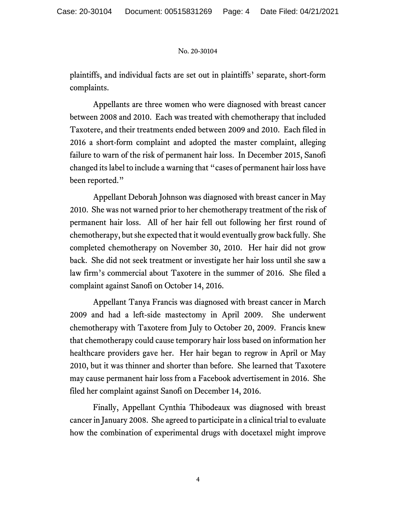plaintiffs, and individual facts are set out in plaintiffs' separate, short-form complaints.

Appellants are three women who were diagnosed with breast cancer between 2008 and 2010. Each was treated with chemotherapy that included Taxotere, and their treatments ended between 2009 and 2010. Each filed in 2016 a short-form complaint and adopted the master complaint, alleging failure to warn of the risk of permanent hair loss. In December 2015, Sanofi changed its label to include a warning that "cases of permanent hair loss have been reported."

Appellant Deborah Johnson was diagnosed with breast cancer in May 2010. She was not warned prior to her chemotherapy treatment of the risk of permanent hair loss. All of her hair fell out following her first round of chemotherapy, but she expected that it would eventually grow back fully. She completed chemotherapy on November 30, 2010. Her hair did not grow back. She did not seek treatment or investigate her hair loss until she saw a law firm's commercial about Taxotere in the summer of 2016. She filed a complaint against Sanofi on October 14, 2016.

Appellant Tanya Francis was diagnosed with breast cancer in March 2009 and had a left-side mastectomy in April 2009. She underwent chemotherapy with Taxotere from July to October 20, 2009. Francis knew that chemotherapy could cause temporary hair loss based on information her healthcare providers gave her. Her hair began to regrow in April or May 2010, but it was thinner and shorter than before. She learned that Taxotere may cause permanent hair loss from a Facebook advertisement in 2016. She filed her complaint against Sanofi on December 14, 2016.

Finally, Appellant Cynthia Thibodeaux was diagnosed with breast cancer in January 2008. She agreed to participate in a clinical trial to evaluate how the combination of experimental drugs with docetaxel might improve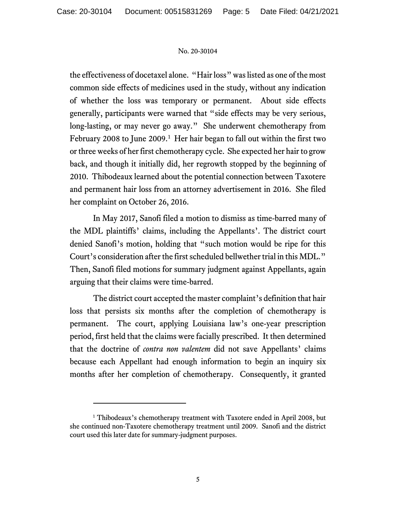the effectiveness of docetaxel alone. "Hair loss" was listed as one of the most common side effects of medicines used in the study, without any indication of whether the loss was temporary or permanent. About side effects generally, participants were warned that "side effects may be very serious, long-lasting, or may never go away." She underwent chemotherapy from February 2008 to June 2009.<sup>[1](#page-4-0)</sup> Her hair began to fall out within the first two or three weeks of her first chemotherapy cycle. She expected her hair to grow back, and though it initially did, her regrowth stopped by the beginning of 2010. Thibodeaux learned about the potential connection between Taxotere and permanent hair loss from an attorney advertisement in 2016. She filed her complaint on October 26, 2016.

In May 2017, Sanofi filed a motion to dismiss as time-barred many of the MDL plaintiffs' claims, including the Appellants'. The district court denied Sanofi's motion, holding that "such motion would be ripe for this Court's consideration after the first scheduled bellwether trial in this MDL." Then, Sanofi filed motions for summary judgment against Appellants, again arguing that their claims were time-barred.

The district court accepted the master complaint's definition that hair loss that persists six months after the completion of chemotherapy is permanent. The court, applying Louisiana law's one-year prescription period, first held that the claims were facially prescribed. It then determined that the doctrine of *contra non valentem* did not save Appellants' claims because each Appellant had enough information to begin an inquiry six months after her completion of chemotherapy. Consequently, it granted

<span id="page-4-0"></span><sup>&</sup>lt;sup>1</sup> Thibodeaux's chemotherapy treatment with Taxotere ended in April 2008, but she continued non-Taxotere chemotherapy treatment until 2009. Sanofi and the district court used this later date for summary-judgment purposes.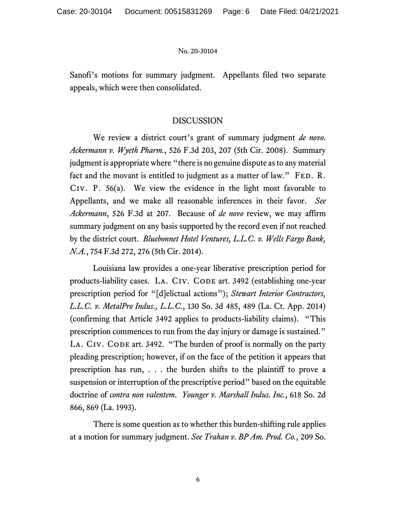Sanofi's motions for summary judgment. Appellants filed two separate appeals, which were then consolidated.

# DISCUSSION

We review a district court's grant of summary judgment *de novo*. *Ackermann v. Wyeth Pharm.*, 526 F.3d 203, 207 (5th Cir. 2008). Summary judgment is appropriate where "there is no genuine dispute as to any material fact and the movant is entitled to judgment as a matter of law." FED. R. Civ. P. 56(a). We view the evidence in the light most favorable to Appellants, and we make all reasonable inferences in their favor. *See Ackermann*, 526 F.3d at 207. Because of *de novo* review, we may affirm summary judgment on any basis supported by the record even if not reached by the district court. *Bluebonnet Hotel Ventures, L.L.C. v. Wells Fargo Bank, N.A.*, 754 F.3d 272, 276 (5th Cir. 2014).

Louisiana law provides a one-year liberative prescription period for products-liability cases. LA. CIV. CODE art. 3492 (establishing one-year prescription period for "[d]elictual actions"); *Stewart Interior Contractors, L.L.C. v. MetalPro Indus., L.L.C.*, 130 So. 3d 485, 489 (La. Ct. App. 2014) (confirming that Article 3492 applies to products-liability claims). "This prescription commences to run from the day injury or damage is sustained." LA. CIV. CODE art. 3492. "The burden of proof is normally on the party pleading prescription; however, if on the face of the petition it appears that prescription has run, . . . the burden shifts to the plaintiff to prove a suspension or interruption of the prescriptive period" based on the equitable doctrine of *contra non valentem*. *Younger v. Marshall Indus. Inc.*, 618 So. 2d 866, 869 (La. 1993).

There is some question as to whether this burden-shifting rule applies at a motion for summary judgment. *See Trahan v. BP Am. Prod. Co.*, 209 So.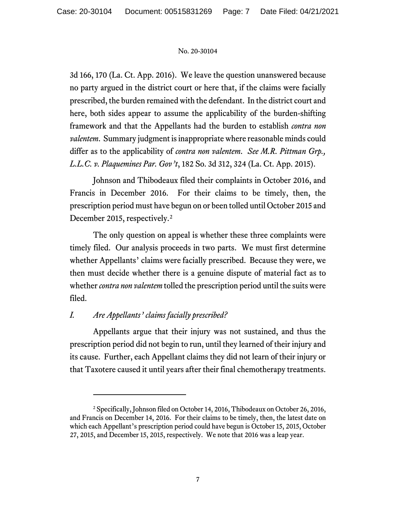3d 166, 170 (La. Ct. App. 2016). We leave the question unanswered because no party argued in the district court or here that, if the claims were facially prescribed, the burden remained with the defendant. In the district court and here, both sides appear to assume the applicability of the burden-shifting framework and that the Appellants had the burden to establish *contra non valentem*. Summary judgment is inappropriate where reasonable minds could differ as to the applicability of *contra non valentem*. *See M.R. Pittman Grp., L.L.C. v. Plaquemines Par. Gov't*, 182 So. 3d 312, 324 (La. Ct. App. 2015).

Johnson and Thibodeaux filed their complaints in October 2016, and Francis in December 2016. For their claims to be timely, then, the prescription period must have begun on or been tolled until October 2015 and December [2](#page-6-0)015, respectively.<sup>2</sup>

The only question on appeal is whether these three complaints were timely filed. Our analysis proceeds in two parts. We must first determine whether Appellants' claims were facially prescribed. Because they were, we then must decide whether there is a genuine dispute of material fact as to whether *contra non valentem* tolled the prescription period until the suits were filed.

# *I. Are Appellants' claims facially prescribed?*

Appellants argue that their injury was not sustained, and thus the prescription period did not begin to run, until they learned of their injury and its cause. Further, each Appellant claims they did not learn of their injury or that Taxotere caused it until years after their final chemotherapy treatments.

<span id="page-6-0"></span><sup>2</sup> Specifically, Johnson filed on October 14, 2016, Thibodeaux on October 26, 2016, and Francis on December 14, 2016. For their claims to be timely, then, the latest date on which each Appellant's prescription period could have begun is October 15, 2015, October 27, 2015, and December 15, 2015, respectively. We note that 2016 was a leap year.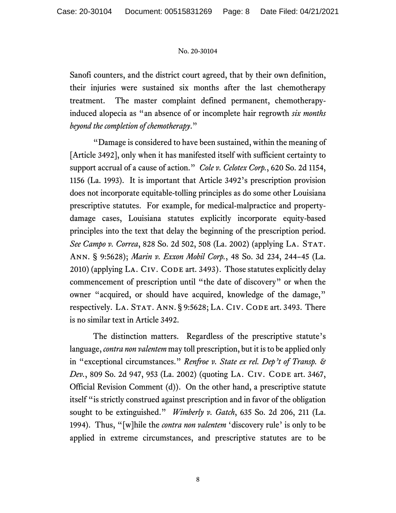Sanofi counters, and the district court agreed, that by their own definition, their injuries were sustained six months after the last chemotherapy treatment. The master complaint defined permanent, chemotherapyinduced alopecia as "an absence of or incomplete hair regrowth *six months beyond the completion of chemotherapy*."

"Damage is considered to have been sustained, within the meaning of [Article 3492], only when it has manifested itself with sufficient certainty to support accrual of a cause of action." *Cole v. Celotex Corp.*, 620 So. 2d 1154, 1156 (La. 1993). It is important that Article 3492's prescription provision does not incorporate equitable-tolling principles as do some other Louisiana prescriptive statutes. For example, for medical-malpractice and propertydamage cases, Louisiana statutes explicitly incorporate equity-based principles into the text that delay the beginning of the prescription period. See Campo v. Correa, 828 So. 2d 502, 508 (La. 2002) (applying LA. STAT. Ann. § 9:5628); *Marin v. Exxon Mobil Corp.*, 48 So. 3d 234, 244–45 (La.  $2010$ ) (applying LA. CIV. CODE art. 3493). Those statutes explicitly delay commencement of prescription until "the date of discovery" or when the owner "acquired, or should have acquired, knowledge of the damage," respectively. LA. STAT. ANN. § 9:5628; LA. CIV. CODE art. 3493. There is no similar text in Article 3492.

The distinction matters. Regardless of the prescriptive statute's language, *contra non valentem* may toll prescription, but it is to be applied only in "exceptional circumstances." *Renfroe v. State ex rel. Dep't of Transp. & Dev.*, 809 So. 2d 947, 953 (La. 2002) (quoting LA. CIV. CODE art. 3467, Official Revision Comment (d)). On the other hand, a prescriptive statute itself "is strictly construed against prescription and in favor of the obligation sought to be extinguished." *Wimberly v. Gatch*, 635 So. 2d 206, 211 (La. 1994). Thus, "[w]hile the *contra non valentem* 'discovery rule' is only to be applied in extreme circumstances, and prescriptive statutes are to be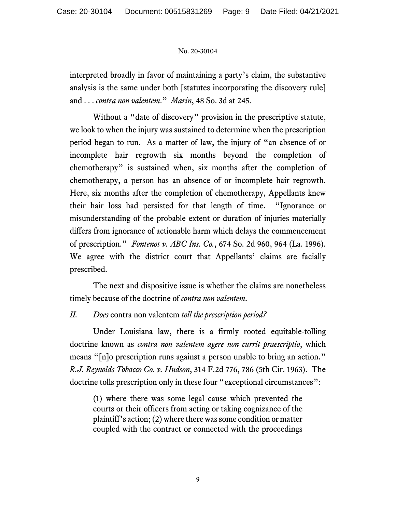interpreted broadly in favor of maintaining a party's claim, the substantive analysis is the same under both [statutes incorporating the discovery rule] and . . . *contra non valentem*." *Marin*, 48 So. 3d at 245.

Without a "date of discovery" provision in the prescriptive statute, we look to when the injury was sustained to determine when the prescription period began to run. As a matter of law, the injury of "an absence of or incomplete hair regrowth six months beyond the completion of chemotherapy" is sustained when, six months after the completion of chemotherapy, a person has an absence of or incomplete hair regrowth. Here, six months after the completion of chemotherapy, Appellants knew their hair loss had persisted for that length of time. "Ignorance or misunderstanding of the probable extent or duration of injuries materially differs from ignorance of actionable harm which delays the commencement of prescription." *Fontenot v. ABC Ins. Co.*, 674 So. 2d 960, 964 (La. 1996). We agree with the district court that Appellants' claims are facially prescribed.

The next and dispositive issue is whether the claims are nonetheless timely because of the doctrine of *contra non valentem*.

# *II. Does* contra non valentem *toll the prescription period?*

Under Louisiana law, there is a firmly rooted equitable-tolling doctrine known as *contra non valentem agere non currit praescriptio*, which means "[n]o prescription runs against a person unable to bring an action." *R.J. Reynolds Tobacco Co. v. Hudson*, 314 F.2d 776, 786 (5th Cir. 1963). The doctrine tolls prescription only in these four "exceptional circumstances":

(1) where there was some legal cause which prevented the courts or their officers from acting or taking cognizance of the plaintiff's action; (2) where there was some condition or matter coupled with the contract or connected with the proceedings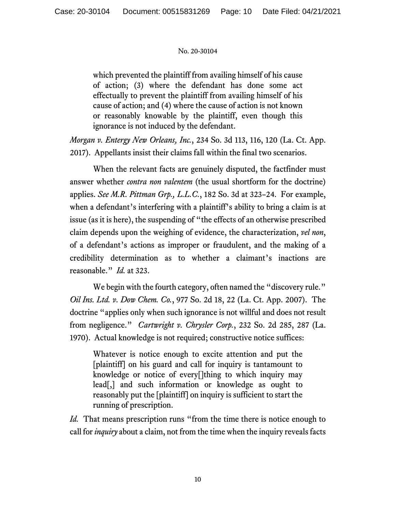which prevented the plaintiff from availing himself of his cause of action; (3) where the defendant has done some act effectually to prevent the plaintiff from availing himself of his cause of action; and (4) where the cause of action is not known or reasonably knowable by the plaintiff, even though this ignorance is not induced by the defendant.

*Morgan v. Entergy New Orleans, Inc.*, 234 So. 3d 113, 116, 120 (La. Ct. App. 2017). Appellants insist their claims fall within the final two scenarios.

When the relevant facts are genuinely disputed, the factfinder must answer whether *contra non valentem* (the usual shortform for the doctrine) applies. *See M.R. Pittman Grp., L.L.C.*, 182 So. 3d at 323–24. For example, when a defendant's interfering with a plaintiff's ability to bring a claim is at issue (as it is here), the suspending of "the effects of an otherwise prescribed claim depends upon the weighing of evidence, the characterization, *vel non*, of a defendant's actions as improper or fraudulent, and the making of a credibility determination as to whether a claimant's inactions are reasonable." *Id.* at 323.

We begin with the fourth category, often named the "discovery rule." *Oil Ins. Ltd. v. Dow Chem. Co.*, 977 So. 2d 18, 22 (La. Ct. App. 2007). The doctrine "applies only when such ignorance is not willful and does not result from negligence." *Cartwright v. Chrysler Corp.*, 232 So. 2d 285, 287 (La. 1970). Actual knowledge is not required; constructive notice suffices:

Whatever is notice enough to excite attention and put the [plaintiff] on his guard and call for inquiry is tantamount to knowledge or notice of every[]thing to which inquiry may lead[,] and such information or knowledge as ought to reasonably put the [plaintiff] on inquiry is sufficient to start the running of prescription.

*Id.* That means prescription runs "from the time there is notice enough to call for *inquiry* about a claim, not from the time when the inquiry reveals facts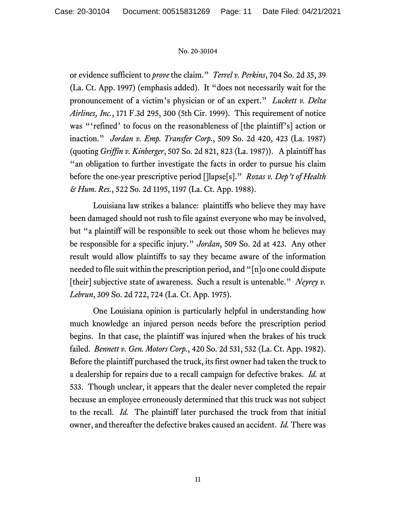or evidence sufficient to *prove* the claim." *Terrel v. Perkins*, 704 So. 2d 35, 39 (La. Ct. App. 1997) (emphasis added). It "does not necessarily wait for the pronouncement of a victim's physician or of an expert." *Luckett v. Delta Airlines, Inc.*, 171 F.3d 295, 300 (5th Cir. 1999). This requirement of notice was "'refined' to focus on the reasonableness of [the plaintiff's] action or inaction." *Jordan v. Emp. Transfer Corp.*, 509 So. 2d 420, 423 (La. 1987) (quoting *Griffin v. Kinberger*, 507 So. 2d 821, 823 (La. 1987)). A plaintiff has "an obligation to further investigate the facts in order to pursue his claim before the one-year prescriptive period []lapse[s]." *Rozas v. Dep't of Health & Hum. Res.*, 522 So. 2d 1195, 1197 (La. Ct. App. 1988).

Louisiana law strikes a balance: plaintiffs who believe they may have been damaged should not rush to file against everyone who may be involved, but "a plaintiff will be responsible to seek out those whom he believes may be responsible for a specific injury." *Jordan*, 509 So. 2d at 423. Any other result would allow plaintiffs to say they became aware of the information needed to file suit within the prescription period, and "[n]o one could dispute [their] subjective state of awareness. Such a result is untenable." *Neyrey v. Lebrun*, 309 So. 2d 722, 724 (La. Ct. App. 1975).

One Louisiana opinion is particularly helpful in understanding how much knowledge an injured person needs before the prescription period begins. In that case, the plaintiff was injured when the brakes of his truck failed. *Bennett v. Gen. Motors Corp.*, 420 So. 2d 531, 532 (La. Ct. App. 1982). Before the plaintiff purchased the truck, its first owner had taken the truck to a dealership for repairs due to a recall campaign for defective brakes. *Id.* at 533. Though unclear, it appears that the dealer never completed the repair because an employee erroneously determined that this truck was not subject to the recall. *Id.* The plaintiff later purchased the truck from that initial owner, and thereafter the defective brakes caused an accident. *Id.* There was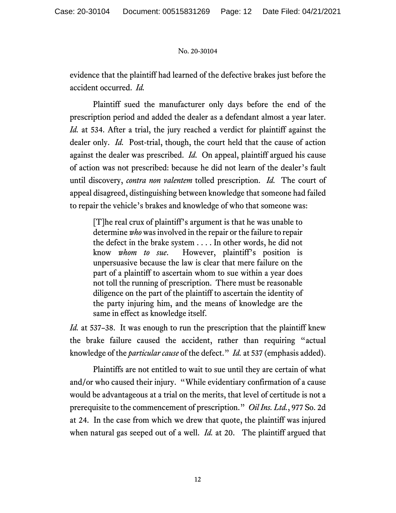evidence that the plaintiff had learned of the defective brakes just before the accident occurred. *Id.*

Plaintiff sued the manufacturer only days before the end of the prescription period and added the dealer as a defendant almost a year later. *Id.* at 534. After a trial, the jury reached a verdict for plaintiff against the dealer only. *Id.* Post-trial, though, the court held that the cause of action against the dealer was prescribed. *Id.* On appeal, plaintiff argued his cause of action was not prescribed: because he did not learn of the dealer's fault until discovery, *contra non valentem* tolled prescription. *Id.* The court of appeal disagreed, distinguishing between knowledge that someone had failed to repair the vehicle's brakes and knowledge of who that someone was:

[T]he real crux of plaintiff's argument is that he was unable to determine *who* was involved in the repair or the failure to repair the defect in the brake system . . . . In other words, he did not know *whom to sue*. However, plaintiff's position is unpersuasive because the law is clear that mere failure on the part of a plaintiff to ascertain whom to sue within a year does not toll the running of prescription. There must be reasonable diligence on the part of the plaintiff to ascertain the identity of the party injuring him, and the means of knowledge are the same in effect as knowledge itself.

*Id.* at 537–38. It was enough to run the prescription that the plaintiff knew the brake failure caused the accident, rather than requiring "actual knowledge of the *particular cause* of the defect." *Id.* at 537 (emphasis added).

Plaintiffs are not entitled to wait to sue until they are certain of what and/or who caused their injury. "While evidentiary confirmation of a cause would be advantageous at a trial on the merits, that level of certitude is not a prerequisite to the commencement of prescription." *Oil Ins. Ltd.*, 977 So. 2d at 24. In the case from which we drew that quote, the plaintiff was injured when natural gas seeped out of a well. *Id.* at 20. The plaintiff argued that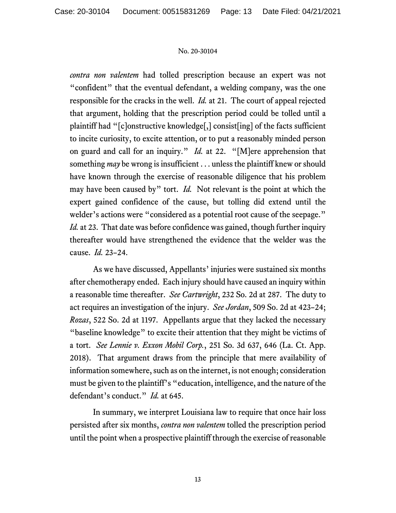*contra non valentem* had tolled prescription because an expert was not "confident" that the eventual defendant, a welding company, was the one responsible for the cracks in the well. *Id.* at 21. The court of appeal rejected that argument, holding that the prescription period could be tolled until a plaintiff had "[c]onstructive knowledge[,] consist[ing] of the facts sufficient to incite curiosity, to excite attention, or to put a reasonably minded person on guard and call for an inquiry." *Id.* at 22. "[M]ere apprehension that something *may* be wrong is insufficient . . . unless the plaintiff knew or should have known through the exercise of reasonable diligence that his problem may have been caused by" tort. *Id.* Not relevant is the point at which the expert gained confidence of the cause, but tolling did extend until the welder's actions were "considered as a potential root cause of the seepage." *Id.* at 23. That date was before confidence was gained, though further inquiry thereafter would have strengthened the evidence that the welder was the cause. *Id.* 23–24.

As we have discussed, Appellants' injuries were sustained six months after chemotherapy ended. Each injury should have caused an inquiry within a reasonable time thereafter. *See Cartwright*, 232 So. 2d at 287. The duty to act requires an investigation of the injury. *See Jordan*, 509 So. 2d at 423–24; *Rozas*, 522 So. 2d at 1197. Appellants argue that they lacked the necessary "baseline knowledge" to excite their attention that they might be victims of a tort. *See Lennie v. Exxon Mobil Corp.*, 251 So. 3d 637, 646 (La. Ct. App. 2018). That argument draws from the principle that mere availability of information somewhere, such as on the internet, is not enough; consideration must be given to the plaintiff's "education, intelligence, and the nature of the defendant's conduct." *Id.* at 645.

In summary, we interpret Louisiana law to require that once hair loss persisted after six months, *contra non valentem* tolled the prescription period until the point when a prospective plaintiff through the exercise of reasonable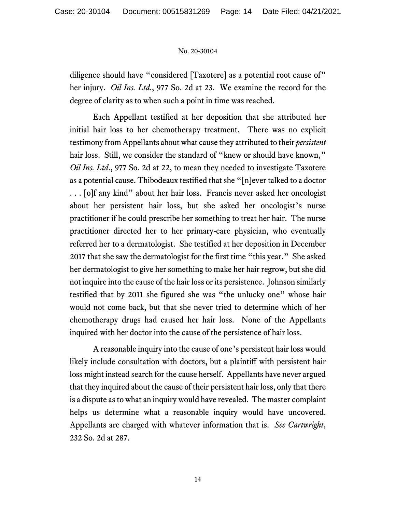diligence should have "considered [Taxotere] as a potential root cause of" her injury. *Oil Ins. Ltd.*, 977 So. 2d at 23. We examine the record for the degree of clarity as to when such a point in time was reached.

Each Appellant testified at her deposition that she attributed her initial hair loss to her chemotherapy treatment. There was no explicit testimony from Appellants about what cause they attributed to their *persistent* hair loss. Still, we consider the standard of "knew or should have known," *Oil Ins. Ltd*., 977 So. 2d at 22, to mean they needed to investigate Taxotere as a potential cause. Thibodeaux testified that she "[n]ever talked to a doctor . . . [o]f any kind" about her hair loss. Francis never asked her oncologist about her persistent hair loss, but she asked her oncologist's nurse practitioner if he could prescribe her something to treat her hair. The nurse practitioner directed her to her primary-care physician, who eventually referred her to a dermatologist. She testified at her deposition in December 2017 that she saw the dermatologist for the first time "this year." She asked her dermatologist to give her something to make her hair regrow, but she did not inquire into the cause of the hair loss or its persistence. Johnson similarly testified that by 2011 she figured she was "the unlucky one" whose hair would not come back, but that she never tried to determine which of her chemotherapy drugs had caused her hair loss. None of the Appellants inquired with her doctor into the cause of the persistence of hair loss.

A reasonable inquiry into the cause of one's persistent hair loss would likely include consultation with doctors, but a plaintiff with persistent hair loss might instead search for the cause herself. Appellants have never argued that they inquired about the cause of their persistent hair loss, only that there is a dispute as to what an inquiry would have revealed. The master complaint helps us determine what a reasonable inquiry would have uncovered. Appellants are charged with whatever information that is. *See Cartwright*, 232 So. 2d at 287.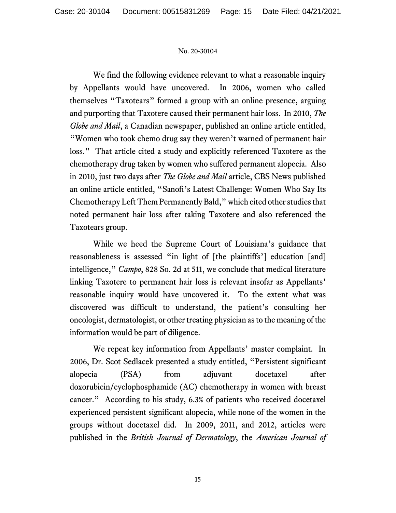We find the following evidence relevant to what a reasonable inquiry by Appellants would have uncovered. In 2006, women who called themselves "Taxotears" formed a group with an online presence, arguing and purporting that Taxotere caused their permanent hair loss. In 2010, *The Globe and Mail*, a Canadian newspaper, published an online article entitled, "Women who took chemo drug say they weren't warned of permanent hair loss." That article cited a study and explicitly referenced Taxotere as the chemotherapy drug taken by women who suffered permanent alopecia. Also in 2010, just two days after *The Globe and Mail* article, CBS News published an online article entitled, "Sanofi's Latest Challenge: Women Who Say Its Chemotherapy Left Them Permanently Bald," which cited other studies that noted permanent hair loss after taking Taxotere and also referenced the Taxotears group.

While we heed the Supreme Court of Louisiana's guidance that reasonableness is assessed "in light of [the plaintiffs'] education [and] intelligence," *Campo*, 828 So. 2d at 511, we conclude that medical literature linking Taxotere to permanent hair loss is relevant insofar as Appellants' reasonable inquiry would have uncovered it. To the extent what was discovered was difficult to understand, the patient's consulting her oncologist, dermatologist, or other treating physician as to the meaning of the information would be part of diligence.

We repeat key information from Appellants' master complaint. In 2006, Dr. Scot Sedlacek presented a study entitled, "Persistent significant alopecia (PSA) from adjuvant docetaxel after doxorubicin/cyclophosphamide (AC) chemotherapy in women with breast cancer." According to his study, 6.3% of patients who received docetaxel experienced persistent significant alopecia, while none of the women in the groups without docetaxel did. In 2009, 2011, and 2012, articles were published in the *British Journal of Dermatology*, the *American Journal of*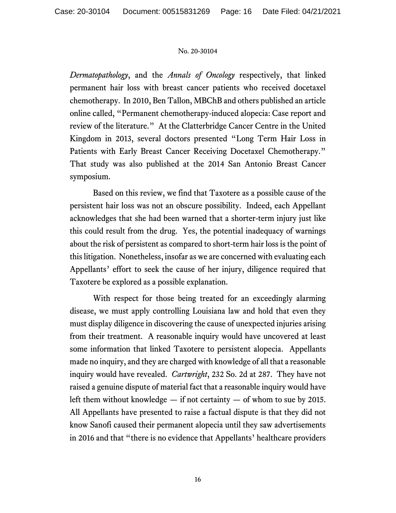*Dermatopathology*, and the *Annals of Oncology* respectively, that linked permanent hair loss with breast cancer patients who received docetaxel chemotherapy. In 2010, Ben Tallon, MBChB and others published an article online called, "Permanent chemotherapy-induced alopecia: Case report and review of the literature." At the Clatterbridge Cancer Centre in the United Kingdom in 2013, several doctors presented "Long Term Hair Loss in Patients with Early Breast Cancer Receiving Docetaxel Chemotherapy." That study was also published at the 2014 San Antonio Breast Cancer symposium.

Based on this review, we find that Taxotere as a possible cause of the persistent hair loss was not an obscure possibility. Indeed, each Appellant acknowledges that she had been warned that a shorter-term injury just like this could result from the drug. Yes, the potential inadequacy of warnings about the risk of persistent as compared to short-term hair loss is the point of this litigation. Nonetheless, insofar as we are concerned with evaluating each Appellants' effort to seek the cause of her injury, diligence required that Taxotere be explored as a possible explanation.

With respect for those being treated for an exceedingly alarming disease, we must apply controlling Louisiana law and hold that even they must display diligence in discovering the cause of unexpected injuries arising from their treatment. A reasonable inquiry would have uncovered at least some information that linked Taxotere to persistent alopecia. Appellants made no inquiry, and they are charged with knowledge of all that a reasonable inquiry would have revealed. *Cartwright*, 232 So. 2d at 287. They have not raised a genuine dispute of material fact that a reasonable inquiry would have left them without knowledge  $-$  if not certainty  $-$  of whom to sue by 2015. All Appellants have presented to raise a factual dispute is that they did not know Sanofi caused their permanent alopecia until they saw advertisements in 2016 and that "there is no evidence that Appellants' healthcare providers